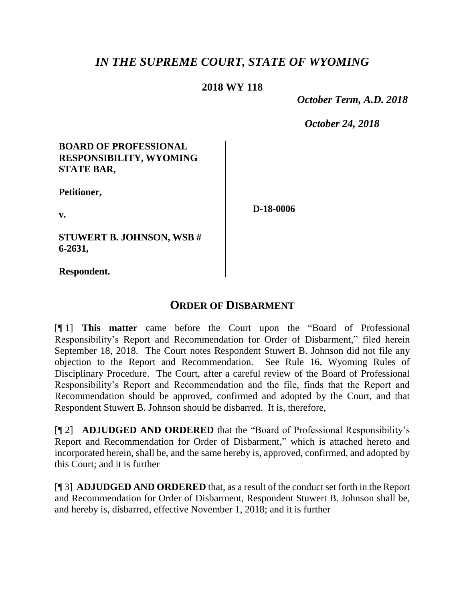# *IN THE SUPREME COURT, STATE OF WYOMING*

## **2018 WY 118**

 *October Term, A.D. 2018*

*October 24, 2018*

## **BOARD OF PROFESSIONAL RESPONSIBILITY, WYOMING STATE BAR,**

**Petitioner,**

**v.**

**D-18-0006**

**STUWERT B. JOHNSON, WSB # 6-2631,**

**Respondent.**

# **ORDER OF DISBARMENT**

[¶ 1] **This matter** came before the Court upon the "Board of Professional Responsibility's Report and Recommendation for Order of Disbarment," filed herein September 18, 2018. The Court notes Respondent Stuwert B. Johnson did not file any objection to the Report and Recommendation. See Rule 16, Wyoming Rules of Disciplinary Procedure. The Court, after a careful review of the Board of Professional Responsibility's Report and Recommendation and the file, finds that the Report and Recommendation should be approved, confirmed and adopted by the Court, and that Respondent Stuwert B. Johnson should be disbarred. It is, therefore,

[¶ 2] **ADJUDGED AND ORDERED** that the "Board of Professional Responsibility's Report and Recommendation for Order of Disbarment," which is attached hereto and incorporated herein, shall be, and the same hereby is, approved, confirmed, and adopted by this Court; and it is further

[¶ 3] **ADJUDGED AND ORDERED** that, as a result of the conduct set forth in the Report and Recommendation for Order of Disbarment, Respondent Stuwert B. Johnson shall be, and hereby is, disbarred, effective November 1, 2018; and it is further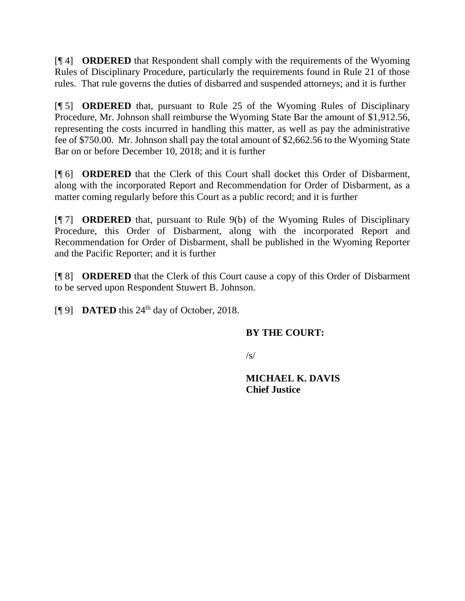[¶ 4] **ORDERED** that Respondent shall comply with the requirements of the Wyoming Rules of Disciplinary Procedure, particularly the requirements found in Rule 21 of those rules. That rule governs the duties of disbarred and suspended attorneys; and it is further

[¶ 5] **ORDERED** that, pursuant to Rule 25 of the Wyoming Rules of Disciplinary Procedure, Mr. Johnson shall reimburse the Wyoming State Bar the amount of \$1,912.56, representing the costs incurred in handling this matter, as well as pay the administrative fee of \$750.00. Mr. Johnson shall pay the total amount of \$2,662.56 to the Wyoming State Bar on or before December 10, 2018; and it is further

[¶ 6] **ORDERED** that the Clerk of this Court shall docket this Order of Disbarment, along with the incorporated Report and Recommendation for Order of Disbarment, as a matter coming regularly before this Court as a public record; and it is further

[¶ 7] **ORDERED** that, pursuant to Rule 9(b) of the Wyoming Rules of Disciplinary Procedure, this Order of Disbarment, along with the incorporated Report and Recommendation for Order of Disbarment, shall be published in the Wyoming Reporter and the Pacific Reporter; and it is further

[¶ 8] **ORDERED** that the Clerk of this Court cause a copy of this Order of Disbarment to be served upon Respondent Stuwert B. Johnson.

 $[$ [**[** $\theta$ ] **DATED** this 24<sup>th</sup> day of October, 2018.

## **BY THE COURT:**

/s/

**MICHAEL K. DAVIS Chief Justice**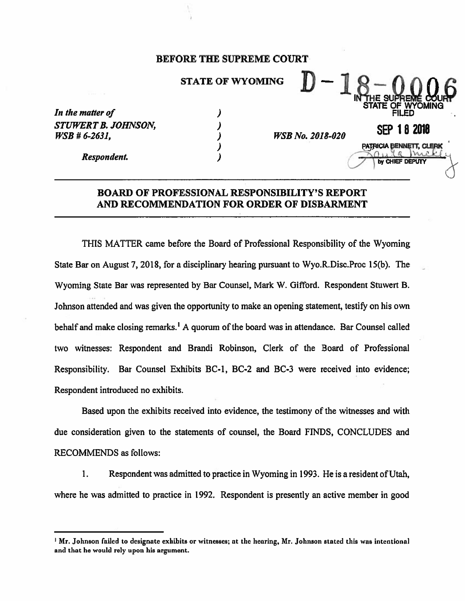#### **BEFORE THE SUPREME COURT**

### **STATE OF WYOMING**

)  $\lambda$ 

 $\lambda$ )

| In the matter of    |
|---------------------|
| STUWERT B. JOHNSON, |
| $WSB # 6-2631,$     |

**WSB No. 2018-020** 

**SEP 18 2018** 

PATRICIA BENNETT, CLERK

CHIEF

Respondent.

### **BOARD OF PROFESSIONAL RESPONSIBILITY'S REPORT** AND RECOMMENDATION FOR ORDER OF DISBARMENT

THIS MATTER came before the Board of Professional Responsibility of the Wyoming State Bar on August 7, 2018, for a disciplinary hearing pursuant to Wyo.R.Disc.Proc 15(b). The Wyoming State Bar was represented by Bar Counsel, Mark W. Gifford. Respondent Stuwert B. Johnson attended and was given the opportunity to make an opening statement, testify on his own behalf and make closing remarks.<sup>1</sup> A quorum of the board was in attendance. Bar Counsel called two witnesses: Respondent and Brandi Robinson, Clerk of the Board of Professional Responsibility. Bar Counsel Exhibits BC-1, BC-2 and BC-3 were received into evidence; Respondent introduced no exhibits.

Based upon the exhibits received into evidence, the testimony of the witnesses and with due consideration given to the statements of counsel, the Board FINDS, CONCLUDES and **RECOMMENDS** as follows:

1. Respondent was admitted to practice in Wyoming in 1993. He is a resident of Utah, where he was admitted to practice in 1992. Respondent is presently an active member in good

<sup>&</sup>lt;sup>1</sup> Mr. Johnson failed to designate exhibits or witnesses; at the hearing, Mr. Johnson stated this was intentional and that he would rely upon his argument.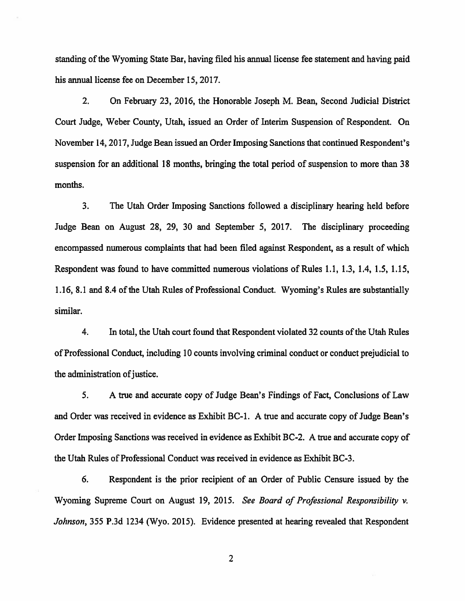standing of the Wyoming State Bar, having filed his annual license fee statement and having paid his annual license fee on December 15, 2017.

 $2.$ On February 23, 2016, the Honorable Joseph M. Bean, Second Judicial District Court Judge, Weber County, Utah, issued an Order of Interim Suspension of Respondent. On November 14, 2017, Judge Bean issued an Order Imposing Sanctions that continued Respondent's suspension for an additional 18 months, bringing the total period of suspension to more than 38 months.

 $3<sub>1</sub>$ The Utah Order Imposing Sanctions followed a disciplinary hearing held before Judge Bean on August 28, 29, 30 and September 5, 2017. The disciplinary proceeding encompassed numerous complaints that had been filed against Respondent, as a result of which Respondent was found to have committed numerous violations of Rules 1.1, 1.3, 1.4, 1.5, 1.15, 1.16, 8.1 and 8.4 of the Utah Rules of Professional Conduct. Wyoming's Rules are substantially similar.

 $4.$ In total, the Utah court found that Respondent violated 32 counts of the Utah Rules of Professional Conduct, including 10 counts involving criminal conduct or conduct prejudicial to the administration of justice.

5. A true and accurate copy of Judge Bean's Findings of Fact, Conclusions of Law and Order was received in evidence as Exhibit BC-1. A true and accurate copy of Judge Bean's Order Imposing Sanctions was received in evidence as Exhibit BC-2. A true and accurate copy of the Utah Rules of Professional Conduct was received in evidence as Exhibit BC-3.

6. Respondent is the prior recipient of an Order of Public Censure issued by the Wyoming Supreme Court on August 19, 2015. See Board of Professional Responsibility v. Johnson, 355 P.3d 1234 (Wyo. 2015). Evidence presented at hearing revealed that Respondent

 $\overline{2}$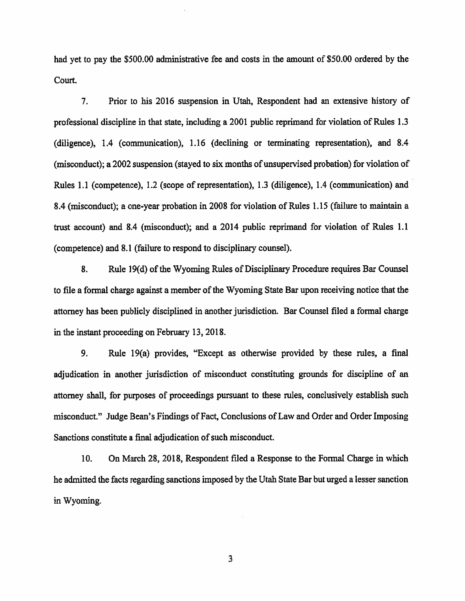had yet to pay the \$500.00 administrative fee and costs in the amount of \$50.00 ordered by the Court.

 $7.$ Prior to his 2016 suspension in Utah, Respondent had an extensive history of professional discipline in that state, including a 2001 public reprimand for violation of Rules 1.3 (diligence), 1.4 (communication), 1.16 (declining or terminating representation), and 8.4 (misconduct); a 2002 suspension (stayed to six months of unsupervised probation) for violation of Rules 1.1 (competence), 1.2 (scope of representation), 1.3 (diligence), 1.4 (communication) and 8.4 (misconduct); a one-year probation in 2008 for violation of Rules 1.15 (failure to maintain a trust account) and 8.4 (misconduct); and a 2014 public reprimand for violation of Rules 1.1 (competence) and 8.1 (failure to respond to disciplinary counsel).

8. Rule 19(d) of the Wyoming Rules of Disciplinary Procedure requires Bar Counsel to file a formal charge against a member of the Wyoming State Bar upon receiving notice that the attorney has been publicly disciplined in another jurisdiction. Bar Counsel filed a formal charge in the instant proceeding on February 13, 2018.

9. Rule 19(a) provides, "Except as otherwise provided by these rules, a final adjudication in another jurisdiction of misconduct constituting grounds for discipline of an attorney shall, for purposes of proceedings pursuant to these rules, conclusively establish such misconduct." Judge Bean's Findings of Fact, Conclusions of Law and Order and Order Imposing Sanctions constitute a final adjudication of such misconduct.

10. On March 28, 2018, Respondent filed a Response to the Formal Charge in which he admitted the facts regarding sanctions imposed by the Utah State Bar but urged a lesser sanction in Wyoming.

3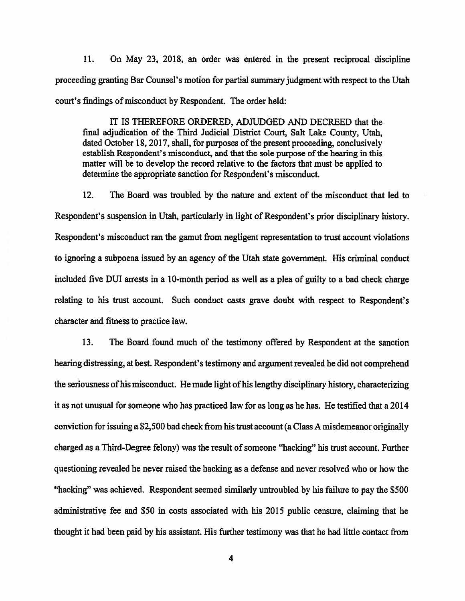On May 23, 2018, an order was entered in the present reciprocal discipline 11. proceeding granting Bar Counsel's motion for partial summary judgment with respect to the Utah court's findings of misconduct by Respondent. The order held:

IT IS THEREFORE ORDERED, ADJUDGED AND DECREED that the final adjudication of the Third Judicial District Court, Salt Lake County, Utah. dated October 18, 2017, shall, for purposes of the present proceeding, conclusively establish Respondent's misconduct, and that the sole purpose of the hearing in this matter will be to develop the record relative to the factors that must be applied to determine the appropriate sanction for Respondent's misconduct.

 $12.$ The Board was troubled by the nature and extent of the misconduct that led to Respondent's suspension in Utah, particularly in light of Respondent's prior disciplinary history. Respondent's misconduct ran the gamut from negligent representation to trust account violations to ignoring a subpoena issued by an agency of the Utah state government. His criminal conduct included five DUI arrests in a 10-month period as well as a plea of guilty to a bad check charge relating to his trust account. Such conduct casts grave doubt with respect to Respondent's character and fitness to practice law.

13. The Board found much of the testimony offered by Respondent at the sanction hearing distressing, at best. Respondent's testimony and argument revealed he did not comprehend the seriousness of his misconduct. He made light of his lengthy disciplinary history, characterizing it as not unusual for someone who has practiced law for as long as he has. He testified that a 2014 conviction for issuing a \$2,500 bad check from his trust account (a Class A misdemeanor originally charged as a Third-Degree felony) was the result of someone "hacking" his trust account. Further questioning revealed he never raised the hacking as a defense and never resolved who or how the "hacking" was achieved. Respondent seemed similarly untroubled by his failure to pay the \$500 administrative fee and \$50 in costs associated with his 2015 public censure, claiming that he thought it had been paid by his assistant. His further testimony was that he had little contact from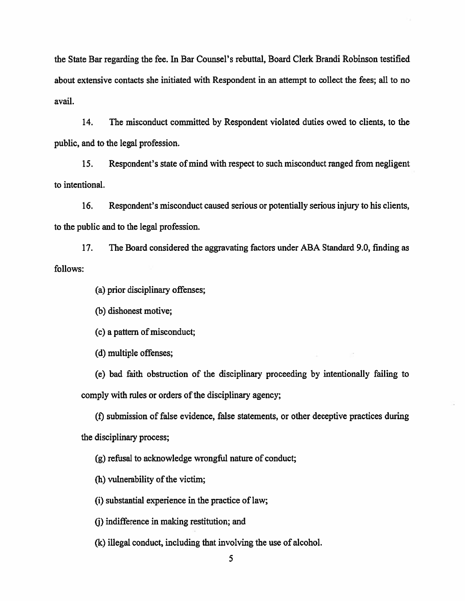the State Bar regarding the fee. In Bar Counsel's rebuttal, Board Clerk Brandi Robinson testified about extensive contacts she initiated with Respondent in an attempt to collect the fees; all to no avail.

14. The misconduct committed by Respondent violated duties owed to clients, to the public, and to the legal profession.

15. Respondent's state of mind with respect to such misconduct ranged from negligent to intentional.

16. Respondent's misconduct caused serious or potentially serious injury to his clients. to the public and to the legal profession.

The Board considered the aggravating factors under ABA Standard 9.0, finding as 17. follows:

(a) prior disciplinary offenses;

(b) dishonest motive;

(c) a pattern of misconduct;

(d) multiple offenses;

(e) bad faith obstruction of the disciplinary proceeding by intentionally failing to comply with rules or orders of the disciplinary agency;

(f) submission of false evidence, false statements, or other deceptive practices during the disciplinary process;

(g) refusal to acknowledge wrongful nature of conduct;

(h) vulnerability of the victim;

(i) substantial experience in the practice of law;

(i) indifference in making restitution; and

(k) illegal conduct, including that involving the use of alcohol.

5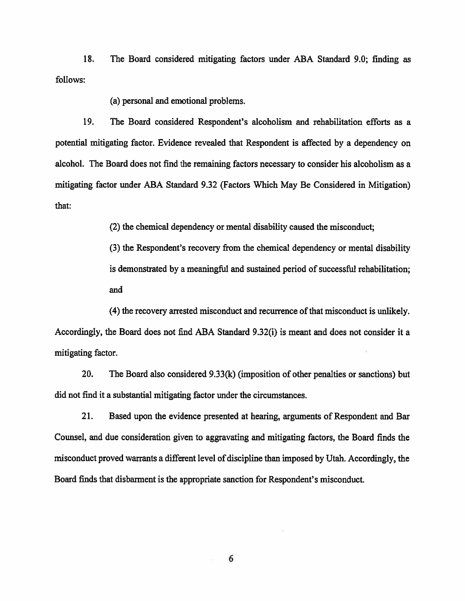18. The Board considered mitigating factors under ABA Standard 9.0; finding as follows:

(a) personal and emotional problems.

19. The Board considered Respondent's alcoholism and rehabilitation efforts as a potential mitigating factor. Evidence revealed that Respondent is affected by a dependency on alcohol. The Board does not find the remaining factors necessary to consider his alcoholism as a mitigating factor under ABA Standard 9.32 (Factors Which May Be Considered in Mitigation) that:

(2) the chemical dependency or mental disability caused the misconduct;

(3) the Respondent's recovery from the chemical dependency or mental disability is demonstrated by a meaningful and sustained period of successful rehabilitation; and

(4) the recovery arrested misconduct and recurrence of that misconduct is unlikely. Accordingly, the Board does not find ABA Standard 9.32(i) is meant and does not consider it a mitigating factor.

20. The Board also considered  $9.33(k)$  (imposition of other penalties or sanctions) but did not find it a substantial mitigating factor under the circumstances.

21. Based upon the evidence presented at hearing, arguments of Respondent and Bar Counsel, and due consideration given to aggravating and mitigating factors, the Board finds the misconduct proved warrants a different level of discipline than imposed by Utah. Accordingly, the Board finds that disbarment is the appropriate sanction for Respondent's misconduct.

6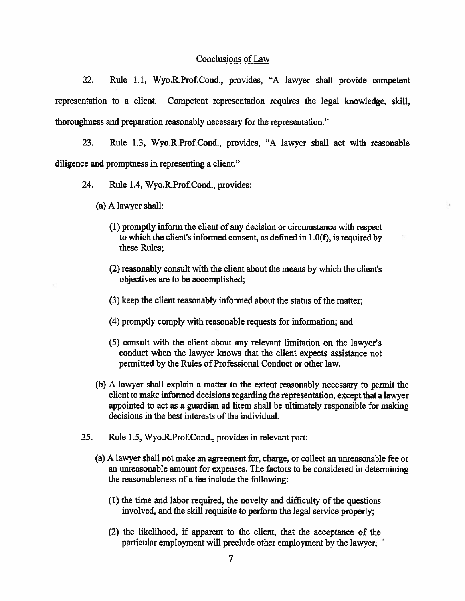#### Conclusions of Law

22. Rule 1.1, Wyo.R.Prof.Cond., provides, "A lawyer shall provide competent representation to a client. Competent representation requires the legal knowledge, skill, thoroughness and preparation reasonably necessary for the representation."

23. Rule 1.3, Wyo.R.Prof.Cond., provides, "A lawyer shall act with reasonable diligence and promptness in representing a client."

- 24. Rule 1.4, Wyo.R.Prof.Cond., provides:
	- (a) A lawyer shall:
		- (1) promptly inform the client of any decision or circumstance with respect to which the client's informed consent, as defined in  $1.0(f)$ , is required by these Rules:
		- (2) reasonably consult with the client about the means by which the client's objectives are to be accomplished;
		- (3) keep the client reasonably informed about the status of the matter;
		- (4) promptly comply with reasonable requests for information; and
		- (5) consult with the client about any relevant limitation on the lawyer's conduct when the lawyer knows that the client expects assistance not permitted by the Rules of Professional Conduct or other law.
	- (b) A lawyer shall explain a matter to the extent reasonably necessary to permit the client to make informed decisions regarding the representation, except that a lawyer appointed to act as a guardian ad litem shall be ultimately responsible for making decisions in the best interests of the individual.
- 25. Rule 1.5, Wyo.R.Prof.Cond., provides in relevant part:
	- (a) A lawyer shall not make an agreement for, charge, or collect an unreasonable fee or an unreasonable amount for expenses. The factors to be considered in determining the reasonableness of a fee include the following:
		- (1) the time and labor required, the novelty and difficulty of the questions involved, and the skill requisite to perform the legal service properly;
		- (2) the likelihood, if apparent to the client, that the acceptance of the particular employment will preclude other employment by the lawyer;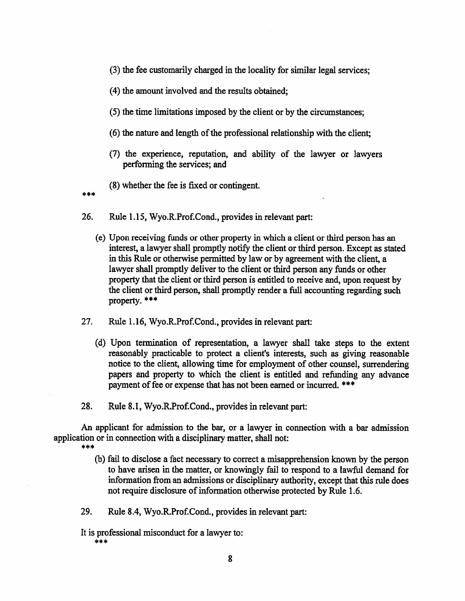- (3) the fee customarily charged in the locality for similar legal services;
- (4) the amount involved and the results obtained;
- (5) the time limitations imposed by the client or by the circumstances;
- (6) the nature and length of the professional relationship with the client;
- (7) the experience, reputation, and ability of the lawyer or lawyers performing the services; and
- (8) whether the fee is fixed or contingent.

\*\*\*

- 26. Rule 1.15, Wyo.R.Prof.Cond., provides in relevant part:
	- (e) Upon receiving funds or other property in which a client or third person has an interest, a lawyer shall promptly notify the client or third person. Except as stated in this Rule or otherwise permitted by law or by agreement with the client, a lawyer shall promptly deliver to the client or third person any funds or other property that the client or third person is entitled to receive and, upon request by the client or third person, shall promptly render a full accounting regarding such property. \*\*\*
- 27. Rule 1.16, Wyo.R.Prof.Cond., provides in relevant part:
	- (d) Upon termination of representation, a lawyer shall take steps to the extent reasonably practicable to protect a client's interests, such as giving reasonable notice to the client, allowing time for employment of other counsel, surrendering papers and property to which the client is entitled and refunding any advance payment of fee or expense that has not been earned or incurred. \*\*\*
- 28. Rule 8.1, Wyo.R.Prof.Cond., provides in relevant part:

An applicant for admission to the bar, or a lawyer in connection with a bar admission application or in connection with a disciplinary matter, shall not:

- \*\*\*
	- (b) fail to disclose a fact necessary to correct a misapprehension known by the person to have arisen in the matter, or knowingly fail to respond to a lawful demand for information from an admissions or disciplinary authority, except that this rule does not require disclosure of information otherwise protected by Rule 1.6.
- 29. Rule 8.4, Wyo.R.Prof.Cond., provides in relevant part:
- It is professional misconduct for a lawyer to: \*\*\*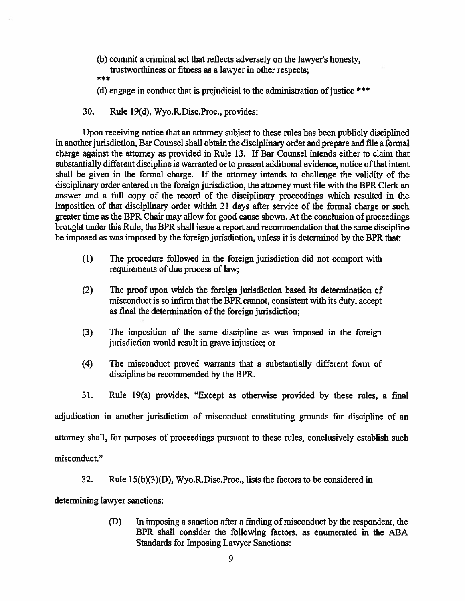- (b) commit a criminal act that reflects adversely on the lawyer's honesty, trustworthiness or fitness as a lawyer in other respects;
- (d) engage in conduct that is prejudicial to the administration of justice \*\*\*
- 30. Rule 19(d), Wyo.R.Disc.Proc., provides:

Upon receiving notice that an attorney subject to these rules has been publicly disciplined in another jurisdiction, Bar Counsel shall obtain the disciplinary order and prepare and file a formal charge against the attorney as provided in Rule 13. If Bar Counsel intends either to claim that substantially different discipline is warranted or to present additional evidence, notice of that intent shall be given in the formal charge. If the attorney intends to challenge the validity of the disciplinary order entered in the foreign jurisdiction, the attorney must file with the BPR Clerk an answer and a full copy of the record of the disciplinary proceedings which resulted in the imposition of that disciplinary order within 21 days after service of the formal charge or such greater time as the BPR Chair may allow for good cause shown. At the conclusion of proceedings brought under this Rule, the BPR shall issue a report and recommendation that the same discipline be imposed as was imposed by the foreign jurisdiction, unless it is determined by the BPR that:

- $(1)$ The procedure followed in the foreign jurisdiction did not comport with requirements of due process of law;
- $(2)$ The proof upon which the foreign jurisdiction based its determination of misconduct is so infirm that the BPR cannot, consistent with its duty, accept as final the determination of the foreign jurisdiction;
- $(3)$ The imposition of the same discipline as was imposed in the foreign jurisdiction would result in grave injustice; or
- $(4)$ The misconduct proved warrants that a substantially different form of discipline be recommended by the BPR.
- 31. Rule 19(a) provides, "Except as otherwise provided by these rules, a final

adjudication in another jurisdiction of misconduct constituting grounds for discipline of an attorney shall, for purposes of proceedings pursuant to these rules, conclusively establish such

misconduct."

32. Rule  $15(b)(3)(D)$ , Wyo.R.Disc.Proc., lists the factors to be considered in

determining lawyer sanctions:

In imposing a sanction after a finding of misconduct by the respondent, the (D) BPR shall consider the following factors, as enumerated in the ABA **Standards for Imposing Lawyer Sanctions:**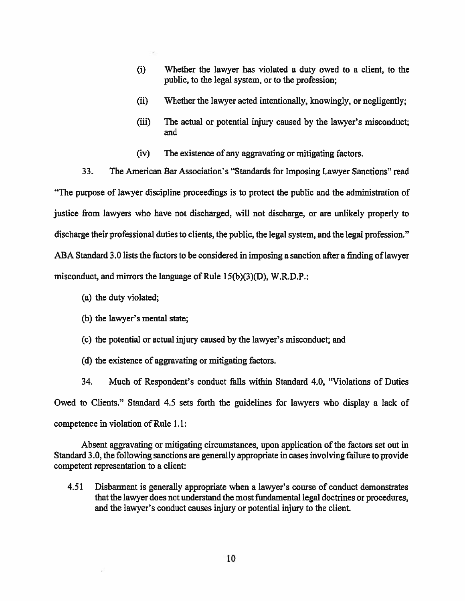- Whether the lawyer has violated a duty owed to a client, to the  $(i)$ public, to the legal system, or to the profession:
- $(ii)$ Whether the lawyer acted intentionally, knowingly, or negligently;
- The actual or potential injury caused by the lawyer's misconduct;  $(iii)$ and
- The existence of any aggravating or mitigating factors.  $(iv)$
- 33. The American Bar Association's "Standards for Imposing Lawyer Sanctions" read

"The purpose of lawyer discipline proceedings is to protect the public and the administration of justice from lawyers who have not discharged, will not discharge, or are unlikely properly to discharge their professional duties to clients, the public, the legal system, and the legal profession." ABA Standard 3.0 lists the factors to be considered in imposing a sanction after a finding of lawyer misconduct, and mirrors the language of Rule 15(b)(3)(D), W.R.D.P.:

- (a) the duty violated;
- (b) the lawyer's mental state;
- (c) the potential or actual injury caused by the lawyer's misconduct; and
- (d) the existence of aggravating or mitigating factors.

34. Much of Respondent's conduct falls within Standard 4.0, "Violations of Duties Owed to Clients." Standard 4.5 sets forth the guidelines for lawyers who display a lack of competence in violation of Rule 1.1:

Absent aggravating or mitigating circumstances, upon application of the factors set out in Standard 3.0, the following sanctions are generally appropriate in cases involving failure to provide competent representation to a client:

Disbarment is generally appropriate when a lawyer's course of conduct demonstrates 4.51 that the lawyer does not understand the most fundamental legal doctrines or procedures, and the lawyer's conduct causes injury or potential injury to the client.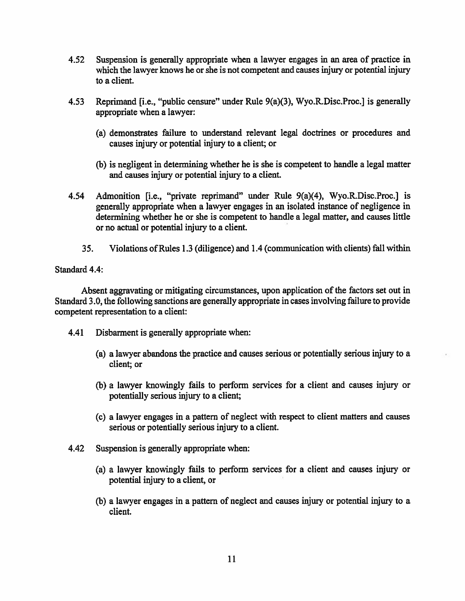- Suspension is generally appropriate when a lawyer engages in an area of practice in  $4.52$ which the lawyer knows he or she is not competent and causes injury or potential injury to a client.
- Reprimand [i.e., "public censure" under Rule 9(a)(3), Wyo.R.Disc.Proc.] is generally 4.53 appropriate when a lawyer:
	- (a) demonstrates failure to understand relevant legal doctrines or procedures and causes injury or potential injury to a client; or
	- (b) is negligent in determining whether he is she is competent to handle a legal matter and causes injury or potential injury to a client.
- Admonition [i.e., "private reprimand" under Rule 9(a)(4), Wyo.R.Disc.Proc.] is 4.54 generally appropriate when a lawyer engages in an isolated instance of negligence in determining whether he or she is competent to handle a legal matter, and causes little or no actual or potential injury to a client.
	- $35.$ Violations of Rules 1.3 (diligence) and 1.4 (communication with clients) fall within

#### Standard 4.4:

Absent aggravating or mitigating circumstances, upon application of the factors set out in Standard 3.0, the following sanctions are generally appropriate in cases involving failure to provide competent representation to a client:

- 4.41 Disbarment is generally appropriate when:
	- (a) a lawyer abandons the practice and causes serious or potentially serious injury to a client; or
	- (b) a lawyer knowingly fails to perform services for a client and causes injury or potentially serious injury to a client;
	- (c) a lawyer engages in a pattern of neglect with respect to client matters and causes serious or potentially serious injury to a client.
- 4.42 Suspension is generally appropriate when:
	- (a) a lawyer knowingly fails to perform services for a client and causes injury or potential injury to a client, or
	- (b) a lawyer engages in a pattern of neglect and causes injury or potential injury to a client.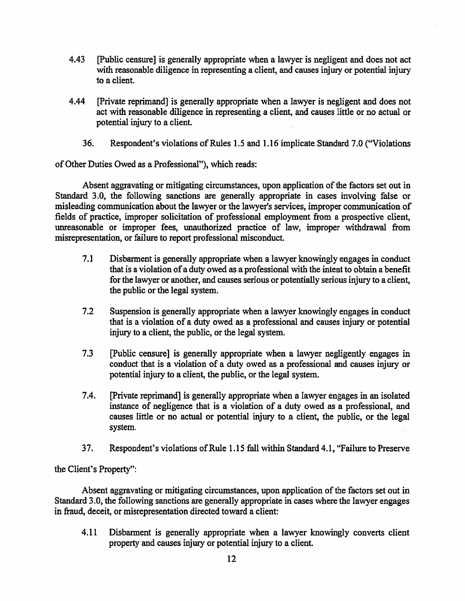- 4.43 [Public censure] is generally appropriate when a lawyer is negligent and does not act with reasonable diligence in representing a client, and causes injury or potential injury to a client.
- 4.44 [Private reprimand] is generally appropriate when a lawyer is negligent and does not act with reasonable diligence in representing a client, and causes little or no actual or potential injury to a client.
	- 36. Respondent's violations of Rules 1.5 and 1.16 implicate Standard 7.0 ("Violations"

of Other Duties Owed as a Professional"), which reads:

Absent aggravating or mitigating circumstances, upon application of the factors set out in Standard 3.0, the following sanctions are generally appropriate in cases involving false or misleading communication about the lawyer or the lawyer's services, improper communication of fields of practice, improper solicitation of professional employment from a prospective client, unreasonable or improper fees, unauthorized practice of law, improper withdrawal from misrepresentation, or failure to report professional misconduct.

- $7.1$ Disbarment is generally appropriate when a lawyer knowingly engages in conduct that is a violation of a duty owed as a professional with the intent to obtain a benefit for the lawyer or another, and causes serious or potentially serious injury to a client, the public or the legal system.
- $7.2$ Suspension is generally appropriate when a lawyer knowingly engages in conduct that is a violation of a duty owed as a professional and causes injury or potential injury to a client, the public, or the legal system.
- $7.3$ (Public censure) is generally appropriate when a lawyer negligently engages in conduct that is a violation of a duty owed as a professional and causes injury or potential injury to a client, the public, or the legal system.
- 7.4. [Private reprimand] is generally appropriate when a lawyer engages in an isolated instance of negligence that is a violation of a duty owed as a professional, and causes little or no actual or potential injury to a client, the public, or the legal system.
- 37. Respondent's violations of Rule 1.15 fall within Standard 4.1, "Failure to Preserve

the Client's Property":

Absent aggravating or mitigating circumstances, upon application of the factors set out in Standard 3.0, the following sanctions are generally appropriate in cases where the lawyer engages in fraud, deceit, or misrepresentation directed toward a client:

4.11 Disbarment is generally appropriate when a lawyer knowingly converts client property and causes injury or potential injury to a client.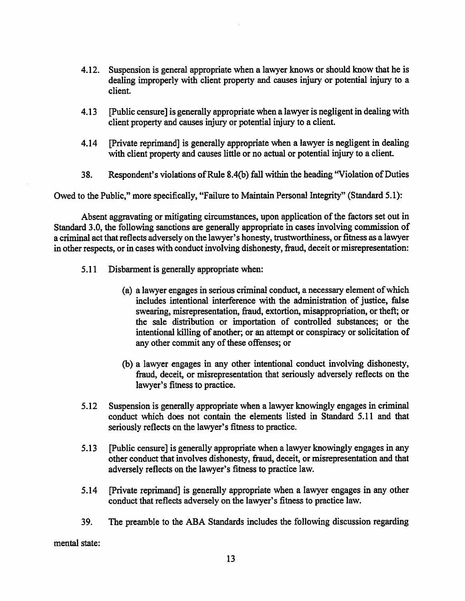- Suspension is general appropriate when a lawyer knows or should know that he is 4.12. dealing improperly with client property and causes injury or potential injury to a client.
- 4.13 [Public censure] is generally appropriate when a lawyer is negligent in dealing with client property and causes injury or potential injury to a client.
- 4.14 [Private reprimand] is generally appropriate when a lawyer is negligent in dealing with client property and causes little or no actual or potential injury to a client.
- Respondent's violations of Rule 8.4(b) fall within the heading "Violation of Duties 38.

Owed to the Public," more specifically, "Failure to Maintain Personal Integrity" (Standard 5.1):

Absent aggravating or mitigating circumstances, upon application of the factors set out in Standard 3.0, the following sanctions are generally appropriate in cases involving commission of a criminal act that reflects adversely on the lawyer's honesty, trustworthiness, or fitness as a lawyer in other respects, or in cases with conduct involving dishonesty, fraud, deceit or misrepresentation:

- $5.11$ Disbarment is generally appropriate when:
	- (a) a lawyer engages in serious criminal conduct, a necessary element of which includes intentional interference with the administration of justice, false swearing, misrepresentation, fraud, extortion, misappropriation, or theft; or the sale distribution or importation of controlled substances; or the intentional killing of another; or an attempt or conspiracy or solicitation of any other commit any of these offenses; or
	- (b) a lawyer engages in any other intentional conduct involving dishonesty, fraud, deceit, or misrepresentation that seriously adversely reflects on the lawyer's fitness to practice.
- $5.12$ Suspension is generally appropriate when a lawyer knowingly engages in criminal conduct which does not contain the elements listed in Standard 5.11 and that seriously reflects on the lawyer's fitness to practice.
- $5.13$ [Public censure] is generally appropriate when a lawyer knowingly engages in any other conduct that involves dishonesty, fraud, deceit, or misrepresentation and that adversely reflects on the lawyer's fitness to practice law.
- $5.14$ [Private reprimand] is generally appropriate when a lawyer engages in any other conduct that reflects adversely on the lawyer's fitness to practice law.
- 39. The preamble to the ABA Standards includes the following discussion regarding

mental state: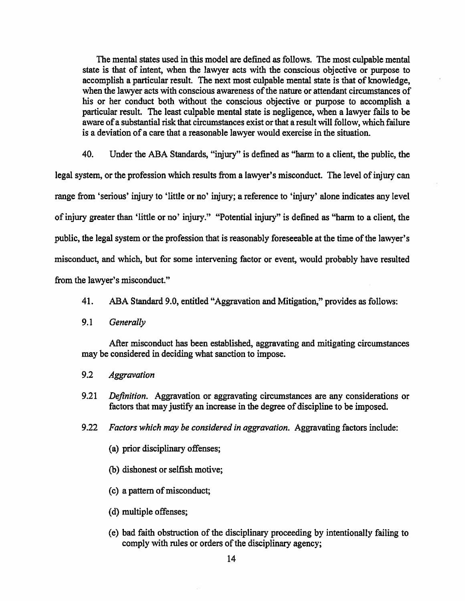The mental states used in this model are defined as follows. The most culpable mental state is that of intent, when the lawyer acts with the conscious objective or purpose to accomplish a particular result. The next most culpable mental state is that of knowledge, when the lawyer acts with conscious awareness of the nature or attendant circumstances of his or her conduct both without the conscious objective or purpose to accomplish a particular result. The least culpable mental state is negligence, when a lawyer fails to be aware of a substantial risk that circumstances exist or that a result will follow, which failure is a deviation of a care that a reasonable lawyer would exercise in the situation.

40. Under the ABA Standards, "injury" is defined as "harm to a client, the public, the legal system, or the profession which results from a lawyer's misconduct. The level of injury can range from 'serious' injury to 'little or no' injury; a reference to 'injury' alone indicates any level of injury greater than 'little or no' injury." "Potential injury" is defined as "harm to a client, the public, the legal system or the profession that is reasonably foreseeable at the time of the lawyer's misconduct, and which, but for some intervening factor or event, would probably have resulted from the lawyer's misconduct."

- ABA Standard 9.0, entitled "Aggravation and Mitigation," provides as follows: 41.
- $9.1$ Generally

After misconduct has been established, aggravating and mitigating circumstances may be considered in deciding what sanction to impose.

- $9.2$ **Aggravation**
- $9.21$ Definition. Aggravation or aggravating circumstances are any considerations or factors that may justify an increase in the degree of discipline to be imposed.
- $9.22$ Factors which may be considered in aggravation. Aggravating factors include:
	- (a) prior disciplinary offenses;
	- (b) dishonest or selfish motive;
	- (c) a pattern of misconduct;
	- (d) multiple offenses;
	- (e) bad faith obstruction of the disciplinary proceeding by intentionally failing to comply with rules or orders of the disciplinary agency;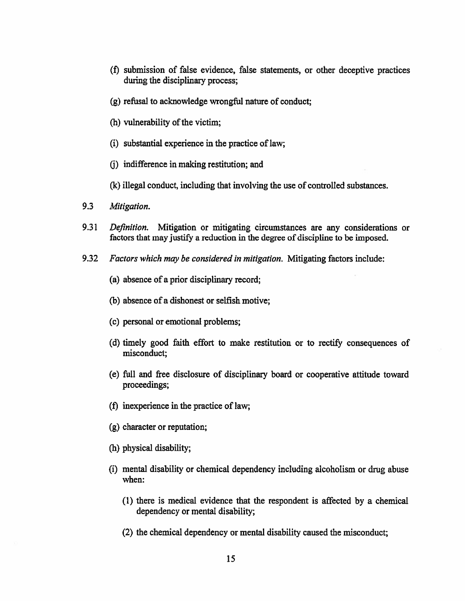- (f) submission of false evidence, false statements, or other deceptive practices during the disciplinary process:
- (g) refusal to acknowledge wrongful nature of conduct;
- (h) vulnerability of the victim;
- (i) substantial experience in the practice of law;
- (i) indifference in making restitution; and
- (k) illegal conduct, including that involving the use of controlled substances.
- 9.3 Mitigation.
- 9.31 Mitigation or mitigating circumstances are any considerations or Definition. factors that may justify a reduction in the degree of discipline to be imposed.
- 9.32 Factors which may be considered in mitigation. Mitigating factors include:
	- (a) absence of a prior disciplinary record;
	- (b) absence of a dishonest or selfish motive;
	- (c) personal or emotional problems;
	- (d) timely good faith effort to make restitution or to rectify consequences of misconduct;
	- (e) full and free disclosure of disciplinary board or cooperative attitude toward proceedings;
	- (f) in experience in the practice of law;
	- (g) character or reputation;
	- (h) physical disability;
	- (i) mental disability or chemical dependency including alcoholism or drug abuse when:
		- (1) there is medical evidence that the respondent is affected by a chemical dependency or mental disability;
		- (2) the chemical dependency or mental disability caused the misconduct;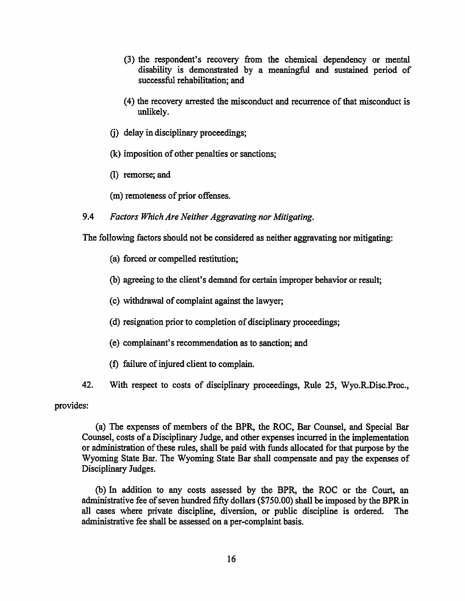- (3) the respondent's recovery from the chemical dependency or mental disability is demonstrated by a meaningful and sustained period of successful rehabilitation: and
- (4) the recovery arrested the misconduct and recurrence of that misconduct is unlikely.
- (i) delay in disciplinary proceedings;
- (k) imposition of other penalties or sanctions;
- (I) remorse; and
- (m) remoteness of prior offenses.
- 9.4 Factors Which Are Neither Aggravating nor Mitigating.

The following factors should not be considered as neither aggravating nor mitigating:

- (a) forced or compelled restitution;
- (b) agreeing to the client's demand for certain improper behavior or result;
- (c) withdrawal of complaint against the lawyer;
- (d) resignation prior to completion of disciplinary proceedings;
- (e) complainant's recommendation as to sanction; and
- (f) failure of injured client to complain.
- 42. With respect to costs of disciplinary proceedings, Rule 25, Wyo.R.Disc.Proc.,

provides:

(a) The expenses of members of the BPR, the ROC, Bar Counsel, and Special Bar Counsel, costs of a Disciplinary Judge, and other expenses incurred in the implementation or administration of these rules, shall be paid with funds allocated for that purpose by the Wyoming State Bar. The Wyoming State Bar shall compensate and pay the expenses of Disciplinary Judges.

(b) In addition to any costs assessed by the BPR, the ROC or the Court, an administrative fee of seven hundred fifty dollars (\$750.00) shall be imposed by the BPR in all cases where private discipline, diversion, or public discipline is ordered. **The** administrative fee shall be assessed on a per-complaint basis.